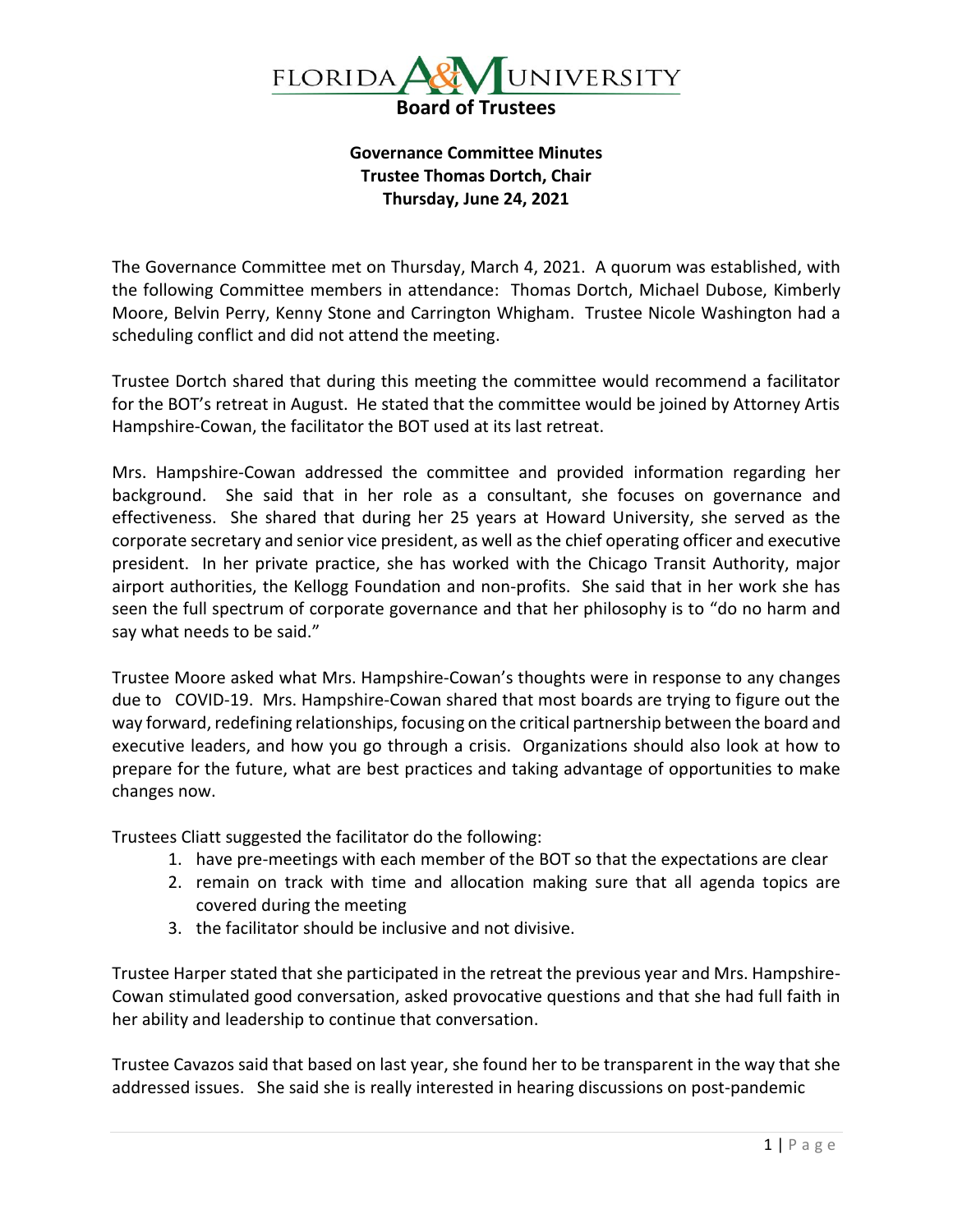

**Governance Committee Minutes Trustee Thomas Dortch, Chair Thursday, June 24, 2021**

The Governance Committee met on Thursday, March 4, 2021. A quorum was established, with the following Committee members in attendance: Thomas Dortch, Michael Dubose, Kimberly Moore, Belvin Perry, Kenny Stone and Carrington Whigham. Trustee Nicole Washington had a scheduling conflict and did not attend the meeting.

Trustee Dortch shared that during this meeting the committee would recommend a facilitator for the BOT's retreat in August. He stated that the committee would be joined by Attorney Artis Hampshire-Cowan, the facilitator the BOT used at its last retreat.

Mrs. Hampshire-Cowan addressed the committee and provided information regarding her background. She said that in her role as a consultant, she focuses on governance and effectiveness. She shared that during her 25 years at Howard University, she served as the corporate secretary and senior vice president, as well as the chief operating officer and executive president. In her private practice, she has worked with the Chicago Transit Authority, major airport authorities, the Kellogg Foundation and non-profits. She said that in her work she has seen the full spectrum of corporate governance and that her philosophy is to "do no harm and say what needs to be said."

Trustee Moore asked what Mrs. Hampshire-Cowan's thoughts were in response to any changes due to COVID-19. Mrs. Hampshire-Cowan shared that most boards are trying to figure out the way forward, redefining relationships, focusing on the critical partnership between the board and executive leaders, and how you go through a crisis. Organizations should also look at how to prepare for the future, what are best practices and taking advantage of opportunities to make changes now.

Trustees Cliatt suggested the facilitator do the following:

- 1. have pre-meetings with each member of the BOT so that the expectations are clear
- 2. remain on track with time and allocation making sure that all agenda topics are covered during the meeting
- 3. the facilitator should be inclusive and not divisive.

Trustee Harper stated that she participated in the retreat the previous year and Mrs. Hampshire-Cowan stimulated good conversation, asked provocative questions and that she had full faith in her ability and leadership to continue that conversation.

Trustee Cavazos said that based on last year, she found her to be transparent in the way that she addressed issues. She said she is really interested in hearing discussions on post-pandemic